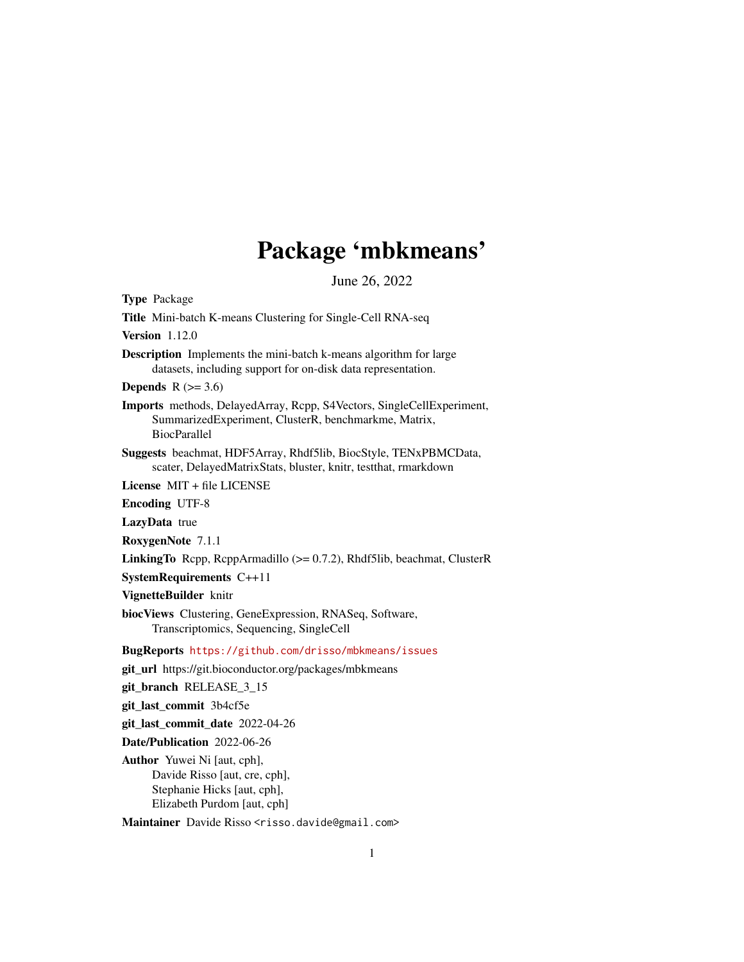## Package 'mbkmeans'

June 26, 2022

<span id="page-0-0"></span>Type Package Title Mini-batch K-means Clustering for Single-Cell RNA-seq Version 1.12.0 Description Implements the mini-batch k-means algorithm for large datasets, including support for on-disk data representation. Depends  $R$  ( $>= 3.6$ ) Imports methods, DelayedArray, Rcpp, S4Vectors, SingleCellExperiment, SummarizedExperiment, ClusterR, benchmarkme, Matrix, BiocParallel Suggests beachmat, HDF5Array, Rhdf5lib, BiocStyle, TENxPBMCData, scater, DelayedMatrixStats, bluster, knitr, testthat, rmarkdown License MIT + file LICENSE Encoding UTF-8 LazyData true RoxygenNote 7.1.1 LinkingTo Rcpp, RcppArmadillo (>= 0.7.2), Rhdf5lib, beachmat, ClusterR SystemRequirements C++11 VignetteBuilder knitr biocViews Clustering, GeneExpression, RNASeq, Software, Transcriptomics, Sequencing, SingleCell BugReports <https://github.com/drisso/mbkmeans/issues> git\_url https://git.bioconductor.org/packages/mbkmeans git\_branch RELEASE\_3\_15 git\_last\_commit 3b4cf5e git last commit date 2022-04-26 Date/Publication 2022-06-26 Author Yuwei Ni [aut, cph], Davide Risso [aut, cre, cph], Stephanie Hicks [aut, cph],

Elizabeth Purdom [aut, cph]

Maintainer Davide Risso <risso.davide@gmail.com>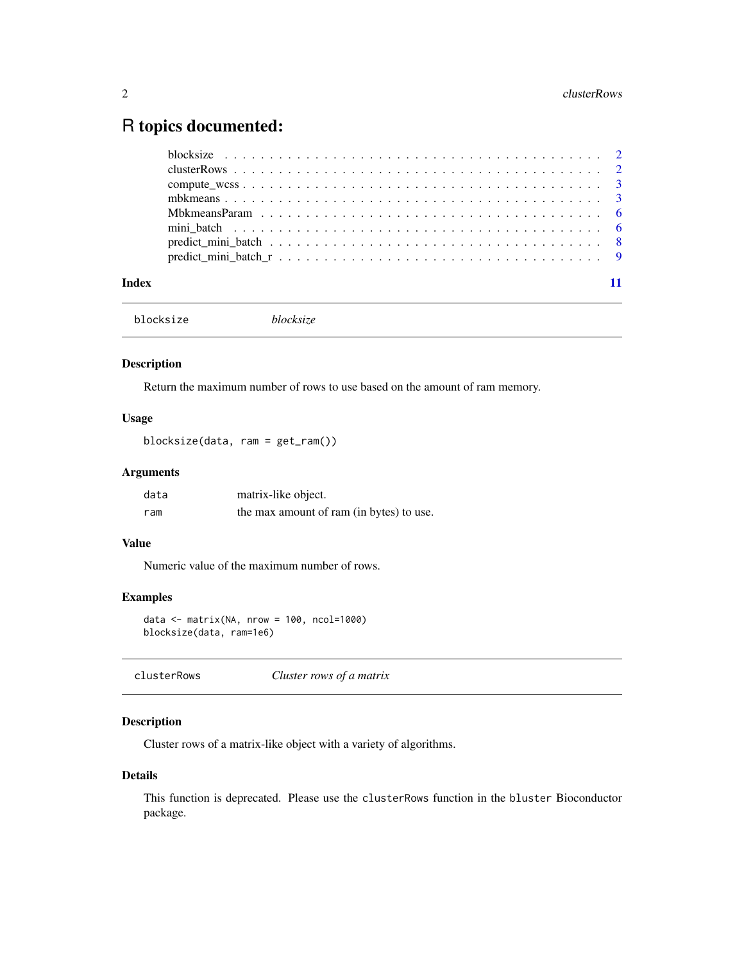### <span id="page-1-0"></span>R topics documented:

| Index |  |
|-------|--|

blocksize *blocksize*

#### Description

Return the maximum number of rows to use based on the amount of ram memory.

#### Usage

blocksize(data, ram = get\_ram())

#### Arguments

| data | matrix-like object.                      |
|------|------------------------------------------|
| ram  | the max amount of ram (in bytes) to use. |

#### Value

Numeric value of the maximum number of rows.

#### Examples

```
data <- matrix(NA, nrow = 100, ncol=1000)
blocksize(data, ram=1e6)
```
#### Description

Cluster rows of a matrix-like object with a variety of algorithms.

#### Details

This function is deprecated. Please use the clusterRows function in the bluster Bioconductor package.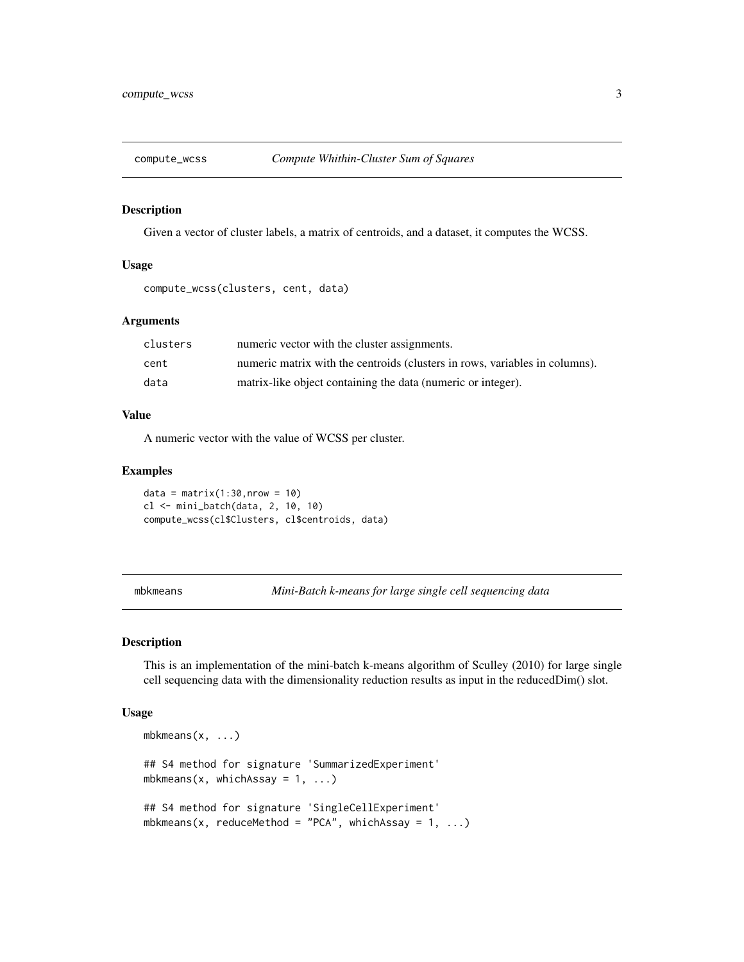<span id="page-2-0"></span>

#### Description

Given a vector of cluster labels, a matrix of centroids, and a dataset, it computes the WCSS.

#### Usage

```
compute_wcss(clusters, cent, data)
```
#### Arguments

| clusters | numeric vector with the cluster assignments.                                |
|----------|-----------------------------------------------------------------------------|
| cent     | numeric matrix with the centroids (clusters in rows, variables in columns). |
| data     | matrix-like object containing the data (numeric or integer).                |

#### Value

A numeric vector with the value of WCSS per cluster.

#### Examples

```
data = matrix(1:30, nrow = 10)cl <- mini_batch(data, 2, 10, 10)
compute_wcss(cl$Clusters, cl$centroids, data)
```
<span id="page-2-1"></span>mbkmeans *Mini-Batch k-means for large single cell sequencing data*

#### Description

This is an implementation of the mini-batch k-means algorithm of Sculley (2010) for large single cell sequencing data with the dimensionality reduction results as input in the reducedDim() slot.

#### Usage

```
mbkmeans(x, ...)
## S4 method for signature 'SummarizedExperiment'
mbkmeans(x, whichAssay = 1, ...)
## S4 method for signature 'SingleCellExperiment'
mbkmeans(x, reduceMethod = "PCA", whichAssay = 1, ...)
```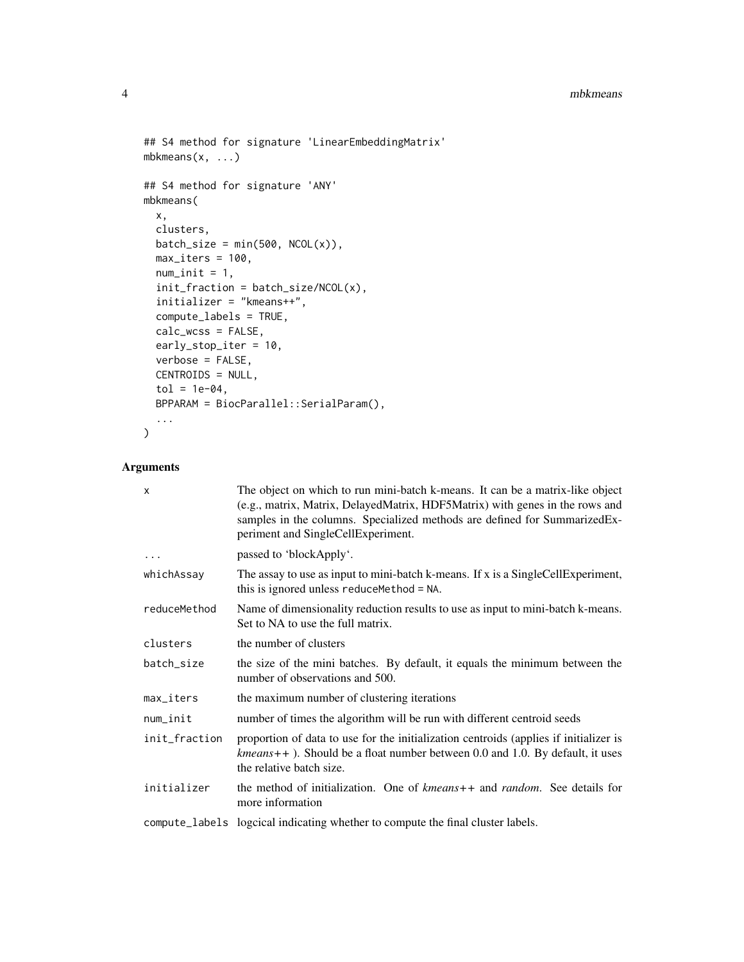#### 4 mbkmeans

```
## S4 method for signature 'LinearEmbeddingMatrix'
mbkmeans(x, ...)
## S4 method for signature 'ANY'
mbkmeans(
 x,
 clusters,
 batch_size = min(500, NCOL(x)),
 max\_iters = 100,
 num\_init = 1,
  init_fraction = batch_size/NCOL(x),
  initializer = "kmeans++",
 compute_labels = TRUE,
 calc_wcss = FALSE,
 early_stop_iter = 10,
 verbose = FALSE,
 CENTROIDS = NULL,
  tol = 1e-04,BPPARAM = BiocParallel::SerialParam(),
  ...
\mathcal{L}
```
#### Arguments

| $\times$      | The object on which to run mini-batch k-means. It can be a matrix-like object<br>(e.g., matrix, Matrix, DelayedMatrix, HDF5Matrix) with genes in the rows and<br>samples in the columns. Specialized methods are defined for SummarizedEx-<br>periment and SingleCellExperiment. |
|---------------|----------------------------------------------------------------------------------------------------------------------------------------------------------------------------------------------------------------------------------------------------------------------------------|
| $\cdots$      | passed to 'blockApply'.                                                                                                                                                                                                                                                          |
| whichAssay    | The assay to use as input to mini-batch k-means. If x is a SingleCellExperiment,<br>this is ignored unless reduce Method = NA.                                                                                                                                                   |
| reduceMethod  | Name of dimensionality reduction results to use as input to mini-batch k-means.<br>Set to NA to use the full matrix.                                                                                                                                                             |
| clusters      | the number of clusters                                                                                                                                                                                                                                                           |
| batch_size    | the size of the mini batches. By default, it equals the minimum between the<br>number of observations and 500.                                                                                                                                                                   |
| $max\_iters$  | the maximum number of clustering iterations                                                                                                                                                                                                                                      |
| num_init      | number of times the algorithm will be run with different centroid seeds                                                                                                                                                                                                          |
| init_fraction | proportion of data to use for the initialization centroids (applies if initializer is<br>$kmeans++$ ). Should be a float number between 0.0 and 1.0. By default, it uses<br>the relative batch size.                                                                             |
| initializer   | the method of initialization. One of kmeans++ and random. See details for<br>more information                                                                                                                                                                                    |
|               | compute_labels logcical indicating whether to compute the final cluster labels.                                                                                                                                                                                                  |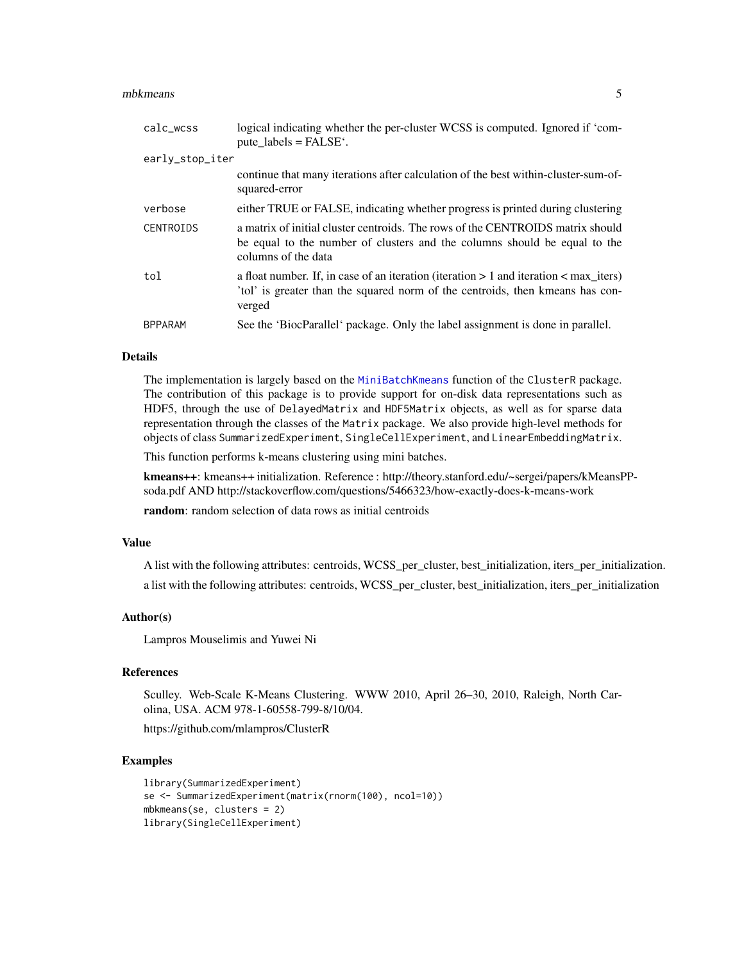#### <span id="page-4-0"></span>mbkmeans 5

| calc_wcss        | logical indicating whether the per-cluster WCSS is computed. Ignored if 'com-<br>pute $labels = FALSE^{\prime}$ .                                                                    |
|------------------|--------------------------------------------------------------------------------------------------------------------------------------------------------------------------------------|
| early_stop_iter  |                                                                                                                                                                                      |
|                  | continue that many iterations after calculation of the best within-cluster-sum-of-<br>squared-error                                                                                  |
| verbose          | either TRUE or FALSE, indicating whether progress is printed during clustering                                                                                                       |
| <b>CENTROIDS</b> | a matrix of initial cluster centroids. The rows of the CENTROIDS matrix should<br>be equal to the number of clusters and the columns should be equal to the<br>columns of the data   |
| tol              | a float number. If, in case of an iteration (iteration $> 1$ and iteration $<$ max iters)<br>'tol' is greater than the squared norm of the centroids, then kmeans has con-<br>verged |
| <b>BPPARAM</b>   | See the 'BiocParallel' package. Only the label assignment is done in parallel.                                                                                                       |

#### Details

The implementation is largely based on the [MiniBatchKmeans](#page-0-0) function of the ClusterR package. The contribution of this package is to provide support for on-disk data representations such as HDF5, through the use of DelayedMatrix and HDF5Matrix objects, as well as for sparse data representation through the classes of the Matrix package. We also provide high-level methods for objects of class SummarizedExperiment, SingleCellExperiment, and LinearEmbeddingMatrix.

This function performs k-means clustering using mini batches.

kmeans++: kmeans++ initialization. Reference : http://theory.stanford.edu/~sergei/papers/kMeansPPsoda.pdf AND http://stackoverflow.com/questions/5466323/how-exactly-does-k-means-work

random: random selection of data rows as initial centroids

#### Value

A list with the following attributes: centroids, WCSS\_per\_cluster, best\_initialization, iters\_per\_initialization. a list with the following attributes: centroids, WCSS\_per\_cluster, best\_initialization, iters\_per\_initialization

#### Author(s)

Lampros Mouselimis and Yuwei Ni

#### References

Sculley. Web-Scale K-Means Clustering. WWW 2010, April 26–30, 2010, Raleigh, North Carolina, USA. ACM 978-1-60558-799-8/10/04.

https://github.com/mlampros/ClusterR

#### Examples

```
library(SummarizedExperiment)
se <- SummarizedExperiment(matrix(rnorm(100), ncol=10))
mbkmeans(se, clusters = 2)
library(SingleCellExperiment)
```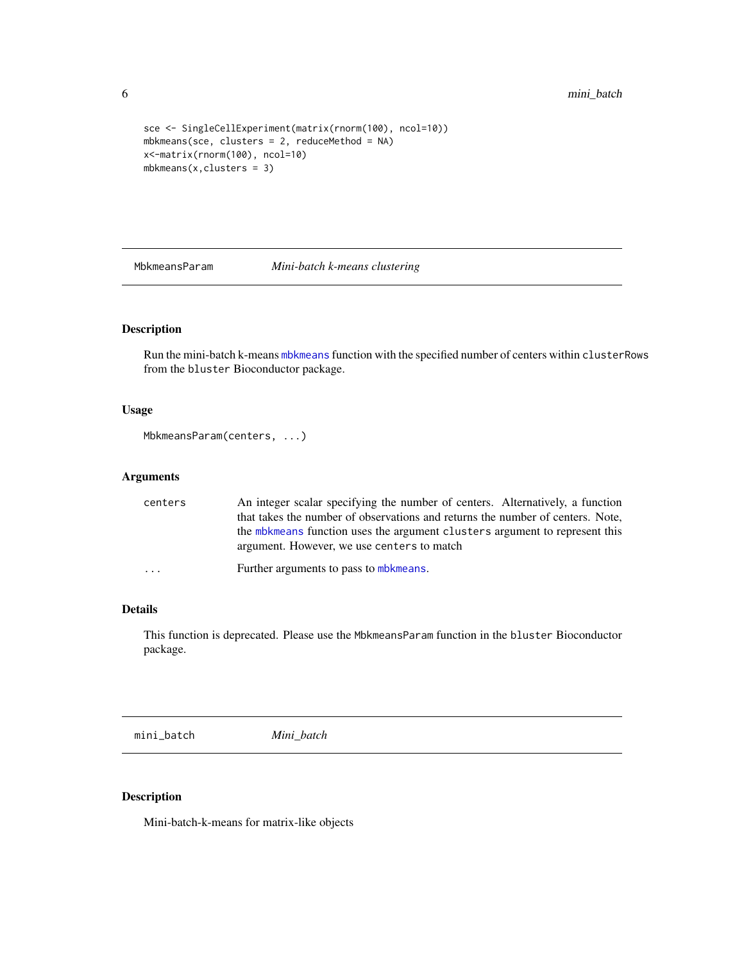```
sce <- SingleCellExperiment(matrix(rnorm(100), ncol=10))
mbkmeans(sce, clusters = 2, reduceMethod = NA)
x<-matrix(rnorm(100), ncol=10)
mbkmeans(x, clusters = 3)
```
MbkmeansParam *Mini-batch k-means clustering*

#### Description

Run the mini-batch k-means [mbkmeans](#page-2-1) function with the specified number of centers within clusterRows from the bluster Bioconductor package.

#### Usage

```
MbkmeansParam(centers, ...)
```
#### Arguments

| centers | An integer scalar specifying the number of centers. Alternatively, a function<br>that takes the number of observations and returns the number of centers. Note, |
|---------|-----------------------------------------------------------------------------------------------------------------------------------------------------------------|
|         | the mbkmeans function uses the argument clusters argument to represent this<br>argument. However, we use centers to match                                       |
| .       | Further arguments to pass to mbkmeans.                                                                                                                          |

#### Details

This function is deprecated. Please use the MbkmeansParam function in the bluster Bioconductor package.

mini\_batch *Mini\_batch*

#### Description

Mini-batch-k-means for matrix-like objects

<span id="page-5-0"></span>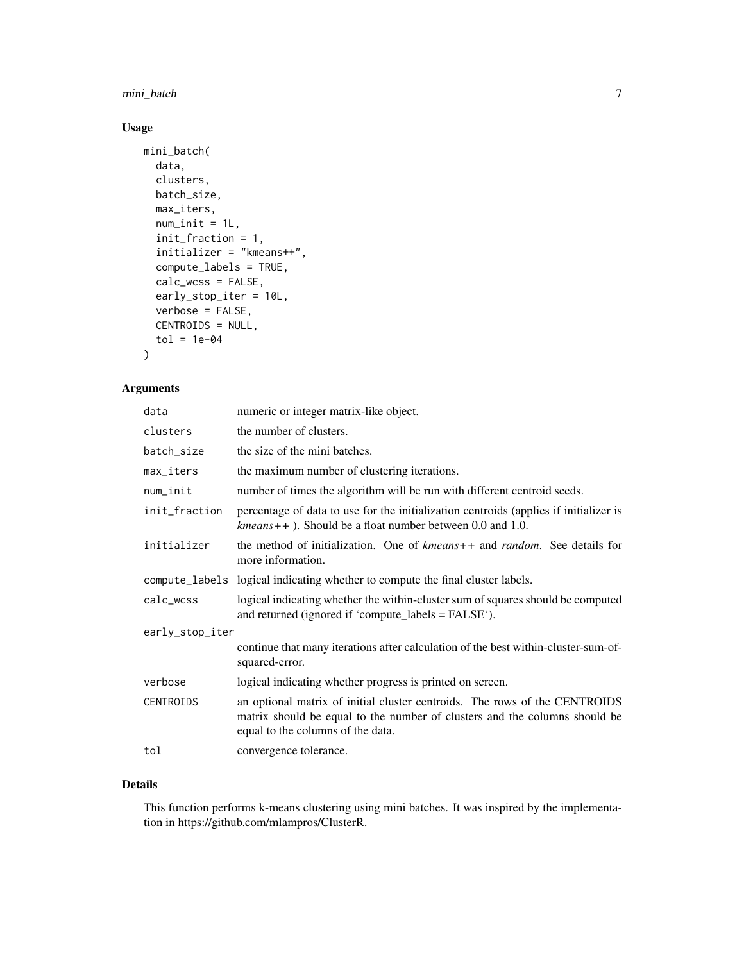#### mini\_batch 7

#### Usage

```
mini_batch(
  data,
  clusters,
  batch_size,
  max_iters,
  num\_init = 1L,
  init_fraction = 1,
  initializer = "kmeans++",
  compute_labels = TRUE,
  calc_wcss = FALSE,
  early_stop_iter = 10L,
  verbose = FALSE,
  CENTROIDS = NULL,
  tol = 1e-04)
```
#### Arguments

| data            | numeric or integer matrix-like object.                                                                                                                                                        |  |
|-----------------|-----------------------------------------------------------------------------------------------------------------------------------------------------------------------------------------------|--|
| clusters        | the number of clusters.                                                                                                                                                                       |  |
| batch_size      | the size of the mini batches.                                                                                                                                                                 |  |
| max iters       | the maximum number of clustering iterations.                                                                                                                                                  |  |
| num_init        | number of times the algorithm will be run with different centroid seeds.                                                                                                                      |  |
| init_fraction   | percentage of data to use for the initialization centroids (applies if initializer is<br>$kmeans++$ ). Should be a float number between 0.0 and 1.0.                                          |  |
| initializer     | the method of initialization. One of kmeans++ and random. See details for<br>more information.                                                                                                |  |
|                 | compute_labels logical indicating whether to compute the final cluster labels.                                                                                                                |  |
| calc_wcss       | logical indicating whether the within-cluster sum of squares should be computed<br>and returned (ignored if 'compute_labels = FALSE').                                                        |  |
| early_stop_iter |                                                                                                                                                                                               |  |
|                 | continue that many iterations after calculation of the best within-cluster-sum-of-<br>squared-error.                                                                                          |  |
| verbose         | logical indicating whether progress is printed on screen.                                                                                                                                     |  |
| CENTROIDS       | an optional matrix of initial cluster centroids. The rows of the CENTROIDS<br>matrix should be equal to the number of clusters and the columns should be<br>equal to the columns of the data. |  |
| tol             | convergence tolerance.                                                                                                                                                                        |  |

#### Details

This function performs k-means clustering using mini batches. It was inspired by the implementation in https://github.com/mlampros/ClusterR.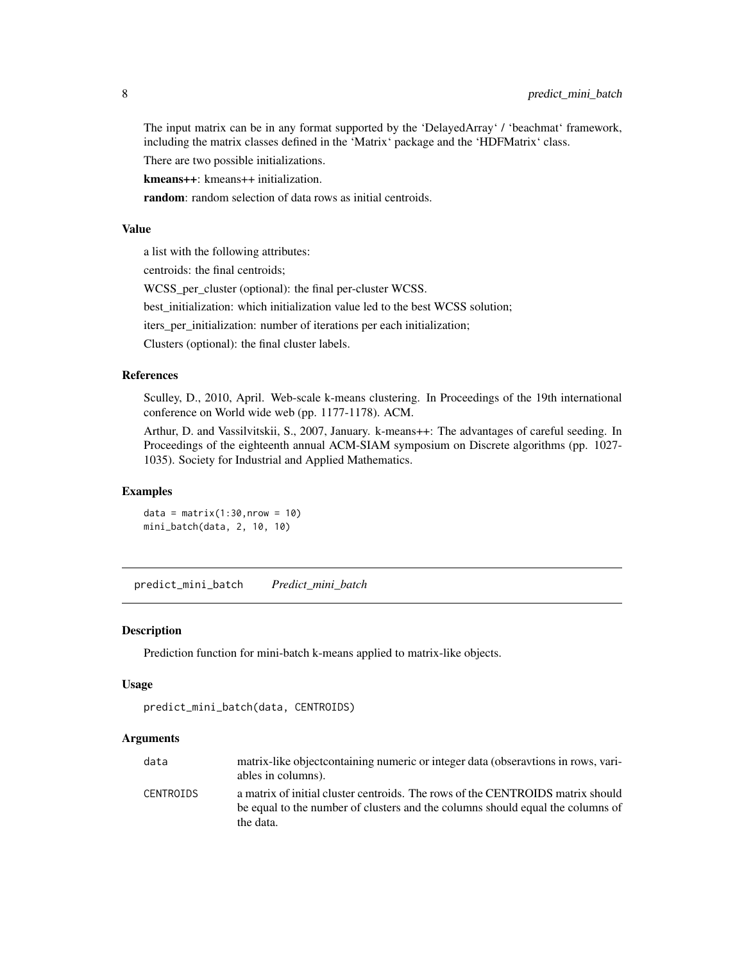<span id="page-7-0"></span>The input matrix can be in any format supported by the 'DelayedArray' / 'beachmat' framework, including the matrix classes defined in the 'Matrix' package and the 'HDFMatrix' class.

There are two possible initializations.

kmeans++: kmeans++ initialization.

random: random selection of data rows as initial centroids.

#### Value

a list with the following attributes:

centroids: the final centroids;

WCSS per cluster (optional): the final per-cluster WCSS.

best\_initialization: which initialization value led to the best WCSS solution;

iters\_per\_initialization: number of iterations per each initialization;

Clusters (optional): the final cluster labels.

#### References

Sculley, D., 2010, April. Web-scale k-means clustering. In Proceedings of the 19th international conference on World wide web (pp. 1177-1178). ACM.

Arthur, D. and Vassilvitskii, S., 2007, January. k-means++: The advantages of careful seeding. In Proceedings of the eighteenth annual ACM-SIAM symposium on Discrete algorithms (pp. 1027- 1035). Society for Industrial and Applied Mathematics.

#### Examples

 $data = matrix(1:30, nrow = 10)$ mini\_batch(data, 2, 10, 10)

predict\_mini\_batch *Predict\_mini\_batch*

#### Description

Prediction function for mini-batch k-means applied to matrix-like objects.

#### Usage

```
predict_mini_batch(data, CENTROIDS)
```
#### Arguments

| data      | matrix-like object containing numeric or integer data (observations in rows, vari- |
|-----------|------------------------------------------------------------------------------------|
|           | ables in columns).                                                                 |
| CENTROIDS | a matrix of initial cluster centroids. The rows of the CENTROIDS matrix should     |
|           | be equal to the number of clusters and the columns should equal the columns of     |
|           | the data.                                                                          |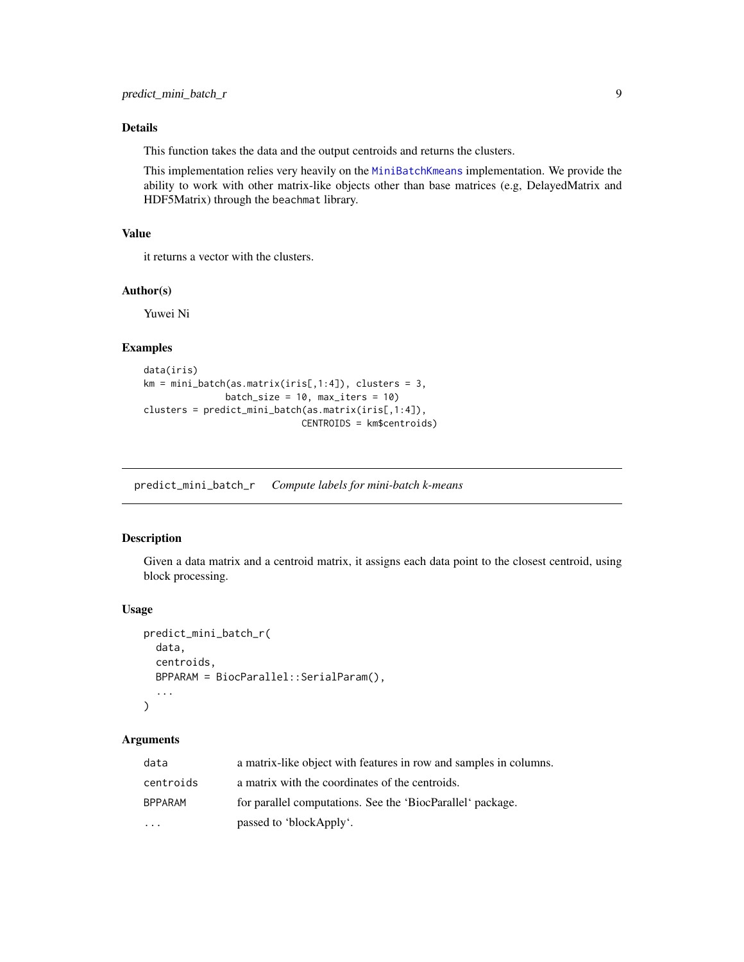#### <span id="page-8-0"></span>Details

This function takes the data and the output centroids and returns the clusters.

This implementation relies very heavily on the [MiniBatchKmeans](#page-0-0) implementation. We provide the ability to work with other matrix-like objects other than base matrices (e.g, DelayedMatrix and HDF5Matrix) through the beachmat library.

#### Value

it returns a vector with the clusters.

#### Author(s)

Yuwei Ni

#### Examples

```
data(iris)
km = min\_batch(as.matrix(iris[,1:4]), clusters = 3,batch_size = 10, max\_iters = 10clusters = predict_mini_batch(as.matrix(iris[,1:4]),
                            CENTROIDS = km$centroids)
```
predict\_mini\_batch\_r *Compute labels for mini-batch k-means*

#### Description

Given a data matrix and a centroid matrix, it assigns each data point to the closest centroid, using block processing.

#### Usage

```
predict_mini_batch_r(
  data,
  centroids,
 BPPARAM = BiocParallel::SerialParam(),
  ...
)
```
#### Arguments

| data           | a matrix-like object with features in row and samples in columns. |
|----------------|-------------------------------------------------------------------|
| centroids      | a matrix with the coordinates of the centroids.                   |
| <b>BPPARAM</b> | for parallel computations. See the 'BiocParallel' package.        |
| .              | passed to 'blockApply'.                                           |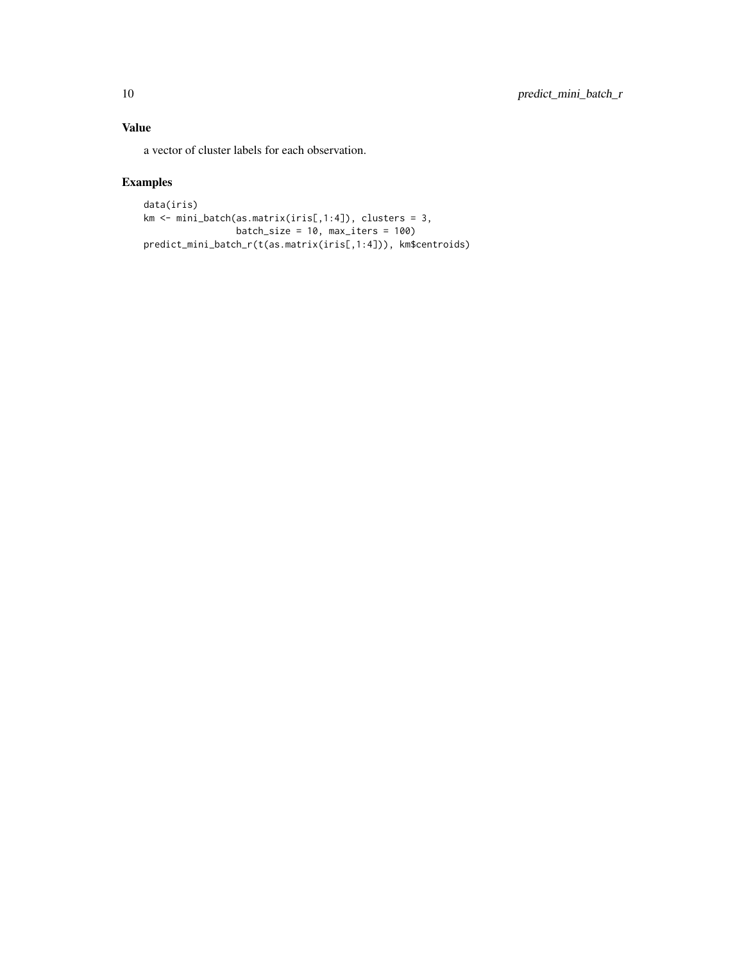#### Value

a vector of cluster labels for each observation.

#### Examples

```
data(iris)
km <- mini_batch(as.matrix(iris[,1:4]), clusters = 3,
                 batch_size = 10, max_iters = 100)
predict_mini_batch_r(t(as.matrix(iris[,1:4])), km$centroids)
```